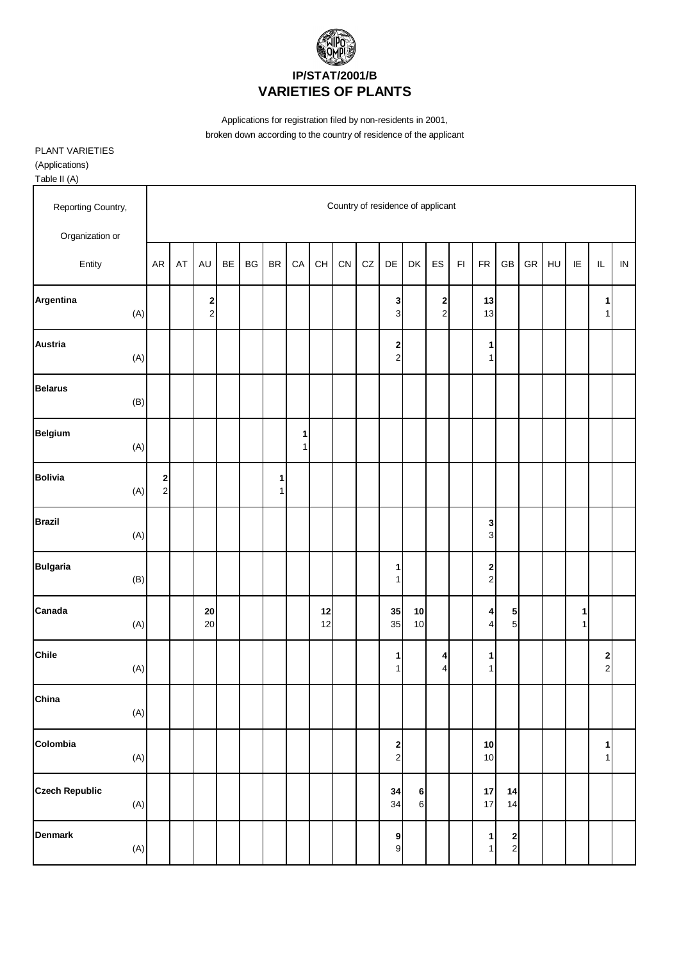

PLANT VARIETIES

(Applications)

| Reporting Country,<br>Organization or |                                                               |    |                  |    |    |                                |        |          |            |    |                                          | Country of residence of applicant |                                           |               |                                |                             |            |    |                   |                              |            |
|---------------------------------------|---------------------------------------------------------------|----|------------------|----|----|--------------------------------|--------|----------|------------|----|------------------------------------------|-----------------------------------|-------------------------------------------|---------------|--------------------------------|-----------------------------|------------|----|-------------------|------------------------------|------------|
| Entity                                | AR                                                            | AT | AU               | BE | BG | <b>BR</b>                      | CA     | CH       | ${\sf CN}$ | CZ | DE                                       | DK                                | ES                                        | $\mathsf{FI}$ | ${\sf FR}$                     | GB                          | ${\sf GR}$ | HU | IE                | IL                           | ${\sf IN}$ |
| Argentina<br>(A)                      |                                                               |    | 2<br>$\mathbf 2$ |    |    |                                |        |          |            |    | 3<br>3                                   |                                   | $\overline{\mathbf{c}}$<br>$\overline{c}$ |               | 13<br>13                       |                             |            |    |                   | 1<br>1                       |            |
| <b>Austria</b><br>(A)                 |                                                               |    |                  |    |    |                                |        |          |            |    | 2<br>$\mathbf{2}$                        |                                   |                                           |               | 1<br>$\mathbf{1}$              |                             |            |    |                   |                              |            |
| <b>Belarus</b><br>(B)                 |                                                               |    |                  |    |    |                                |        |          |            |    |                                          |                                   |                                           |               |                                |                             |            |    |                   |                              |            |
| <b>Belgium</b><br>$(A)$               |                                                               |    |                  |    |    |                                | 1<br>1 |          |            |    |                                          |                                   |                                           |               |                                |                             |            |    |                   |                              |            |
| <b>Bolivia</b><br>(A)                 | $\begin{array}{c} \n\mathbf{2} \\ \n\mathbf{2} \n\end{array}$ |    |                  |    |    | $\mathbf{1}$<br>1 <sup>1</sup> |        |          |            |    |                                          |                                   |                                           |               |                                |                             |            |    |                   |                              |            |
| <b>Brazil</b><br>(A)                  |                                                               |    |                  |    |    |                                |        |          |            |    |                                          |                                   |                                           |               | 3<br>$\overline{3}$            |                             |            |    |                   |                              |            |
| <b>Bulgaria</b><br>(B)                |                                                               |    |                  |    |    |                                |        |          |            |    | 1<br>1                                   |                                   |                                           |               | $\mathbf{2}$<br>$\overline{2}$ |                             |            |    |                   |                              |            |
| Canada<br>(A)                         |                                                               |    | ${\bf 20}$<br>20 |    |    |                                |        | 12<br>12 |            |    | 35<br>35                                 | 10<br>10                          |                                           |               | $\vert$<br>$\vert$             | 5<br>5                      |            |    | 1<br>$\mathbf{1}$ |                              |            |
| <b>Chile</b><br>$(A)$                 |                                                               |    |                  |    |    |                                |        |          |            |    | 1<br>1                                   |                                   | 4<br>$\overline{4}$                       |               | 1<br>$\mathbf{1}$              |                             |            |    |                   | 2<br>$\overline{a}$          |            |
| China<br>(A)                          |                                                               |    |                  |    |    |                                |        |          |            |    |                                          |                                   |                                           |               |                                |                             |            |    |                   |                              |            |
| Colombia<br>(A)                       |                                                               |    |                  |    |    |                                |        |          |            |    | $\begin{array}{c} \n2 \\ 2\n\end{array}$ |                                   |                                           |               | $10\,$<br>10                   |                             |            |    |                   | $\mathbf{1}$<br>$\mathbf{1}$ |            |
| <b>Czech Republic</b><br>(A)          |                                                               |    |                  |    |    |                                |        |          |            |    | 34<br>34                                 | 6<br>$\,$ 6 $\,$                  |                                           |               | $17\,$<br>17                   | 14<br>14                    |            |    |                   |                              |            |
| <b>Denmark</b><br>$(\mathsf{A})$      |                                                               |    |                  |    |    |                                |        |          |            |    | $\overline{9}$<br>$\mathsf g$            |                                   |                                           |               | $\mathbf{1}$<br>1              | $\mathbf{2}$<br>$\mathbf 2$ |            |    |                   |                              |            |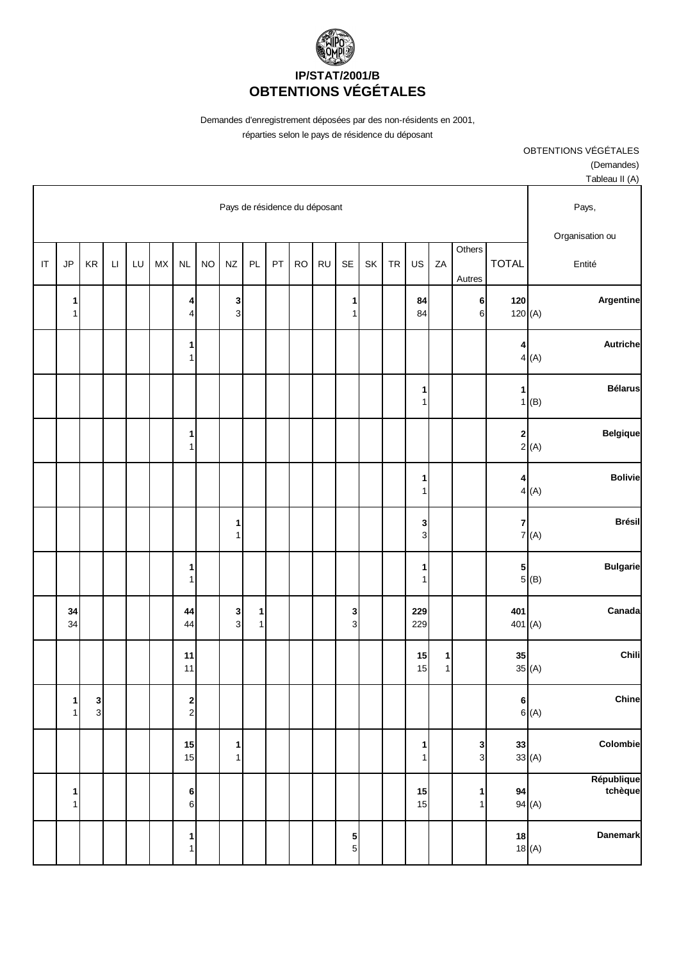

> OBTENTIONS VÉGÉTALES (Demandes) Tableau II (A)

|    |                   |                   |                        |    |           |                   |           |                               |                              |    |           |           |                     |    |           |                              |                              |                      |                 |                | $I$ ablead $II$ $(A)$     |
|----|-------------------|-------------------|------------------------|----|-----------|-------------------|-----------|-------------------------------|------------------------------|----|-----------|-----------|---------------------|----|-----------|------------------------------|------------------------------|----------------------|-----------------|----------------|---------------------------|
|    |                   |                   |                        |    |           |                   |           | Pays de résidence du déposant |                              |    |           |           |                     |    |           |                              |                              |                      |                 |                | Pays,                     |
| IT | JP                | KR                | $\mathsf{L}\mathsf{I}$ | LU | <b>MX</b> | NL                | <b>NO</b> | <b>NZ</b>                     | PL                           | PT | <b>RO</b> | <b>RU</b> | SE                  | SK | <b>TR</b> | US                           | ZA                           | Others<br>Autres     | <b>TOTAL</b>    |                | Organisation ou<br>Entité |
|    | 1<br>1            |                   |                        |    |           | 4<br>4            |           | $\mathbf 3$<br>$\mathbf{3}$   |                              |    |           |           | 1<br>1              |    |           | 84<br>84                     |                              | $6\vert$<br>$6 \mid$ | 120<br>120(A)   |                | Argentine                 |
|    |                   |                   |                        |    |           | 1<br>$\mathbf{1}$ |           |                               |                              |    |           |           |                     |    |           |                              |                              |                      | 4               | 4(A)           | Autriche                  |
|    |                   |                   |                        |    |           |                   |           |                               |                              |    |           |           |                     |    |           | $\mathbf{1}$<br>$\mathbf{1}$ |                              |                      | 1<br>1          | (B)            | <b>Bélarus</b>            |
|    |                   |                   |                        |    |           | 1<br>$\mathbf{1}$ |           |                               |                              |    |           |           |                     |    |           |                              |                              |                      | $\mathbf{2}$    | 2(A)           | <b>Belgique</b>           |
|    |                   |                   |                        |    |           |                   |           |                               |                              |    |           |           |                     |    |           | $\mathbf{1}$<br>$\mathbf{1}$ |                              |                      | 4               | 4(A)           | <b>Bolivie</b>            |
|    |                   |                   |                        |    |           |                   |           | 1<br>1                        |                              |    |           |           |                     |    |           | 3<br>$\overline{3}$          |                              |                      | $\overline{7}$  | 7(A)           | <b>Brésil</b>             |
|    |                   |                   |                        |    |           | 1<br>$\mathbf{1}$ |           |                               |                              |    |           |           |                     |    |           | 1<br>$\mathbf{1}$            |                              |                      | $5\overline{)}$ | 5(8)           | <b>Bulgarie</b>           |
|    | 34<br>34          |                   |                        |    |           | 44<br>44          |           | $\mathbf{3}$<br>3             | $\mathbf{1}$<br>$\mathbf{1}$ |    |           |           | 3<br>$\mathbf{3}$   |    |           | 229<br>229                   |                              |                      | 401<br>401(A)   |                | Canada                    |
|    |                   |                   |                        |    |           | 11<br>11          |           |                               |                              |    |           |           |                     |    |           | 15<br>15                     | $\mathbf{1}$<br>$\mathbf{1}$ |                      | 35              | 35(A)          | Chili                     |
|    | $\mathbf{1}$<br>1 | $\mathbf{3}$<br>3 |                        |    |           | $\frac{2}{2}$     |           |                               |                              |    |           |           |                     |    |           |                              |                              |                      | 6               | 6(A)           | Chine                     |
|    |                   |                   |                        |    |           | 15<br>15          |           | $\mathbf{1}$<br>1             |                              |    |           |           |                     |    |           | $\mathbf{1}$<br>1            |                              | $\frac{3}{3}$        |                 | 33<br>$33$ (A) | Colombie                  |
|    | 1<br>$\mathbf{1}$ |                   |                        |    |           | 6<br>$\mathbf 6$  |           |                               |                              |    |           |           |                     |    |           | 15<br>15                     |                              | 1<br>$\mathbf{1}$    |                 | 94<br>94 (A)   | République<br>tchèque     |
|    |                   |                   |                        |    |           | 1<br>$\mathbf{1}$ |           |                               |                              |    |           |           | 5<br>5 <sup>1</sup> |    |           |                              |                              |                      | 18              | 18(A)          | <b>Danemark</b>           |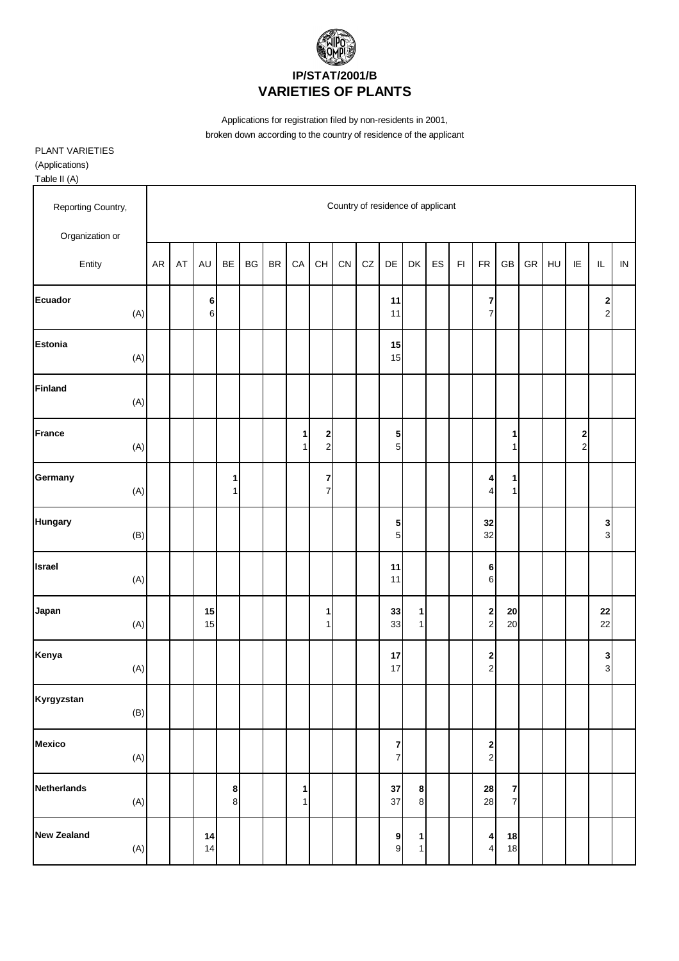

PLANT VARIETIES

(Applications)

| Reporting Country,        |    |    |               |                  |                        |               |                   |                                  |            |    |                                           | Country of residence of applicant |    |               |                                                |                     |            |    |                     |                                         |            |
|---------------------------|----|----|---------------|------------------|------------------------|---------------|-------------------|----------------------------------|------------|----|-------------------------------------------|-----------------------------------|----|---------------|------------------------------------------------|---------------------|------------|----|---------------------|-----------------------------------------|------------|
| Organization or           | AR | AT | <b>AU</b>     | BE               | $\mathsf{B}\mathsf{G}$ | $\mathsf{BR}$ | CA                | CH                               | ${\sf CN}$ | CZ | DE                                        | DK                                | ES | $\mathsf{FI}$ | ${\sf FR}$                                     | GB                  | ${\sf GR}$ | HU | IE                  | $\sf IL$                                | ${\sf IN}$ |
| Entity                    |    |    |               |                  |                        |               |                   |                                  |            |    |                                           |                                   |    |               |                                                |                     |            |    |                     |                                         |            |
| <b>Ecuador</b><br>(A)     |    |    | 6<br>$6 \mid$ |                  |                        |               |                   |                                  |            |    | 11<br>11                                  |                                   |    |               | 7<br>$\overline{\mathbf{7}}$                   |                     |            |    |                     | $\overline{\mathbf{c}}$<br>$\mathbf{2}$ |            |
| <b>Estonia</b><br>(A)     |    |    |               |                  |                        |               |                   |                                  |            |    | 15<br>15                                  |                                   |    |               |                                                |                     |            |    |                     |                                         |            |
| <b>Finland</b><br>(A)     |    |    |               |                  |                        |               |                   |                                  |            |    |                                           |                                   |    |               |                                                |                     |            |    |                     |                                         |            |
| France<br>(A)             |    |    |               |                  |                        |               | 1<br>1            | $\mathbf{2}$<br>$\mathbf{2}$     |            |    | ${\bf 5}$<br>$5\overline{)}$              |                                   |    |               |                                                | 1<br>1              |            |    | 2<br>$\overline{c}$ |                                         |            |
| Germany<br>(A)            |    |    |               | 1<br>1           |                        |               |                   | $\overline{7}$<br>$\overline{7}$ |            |    |                                           |                                   |    |               | 4<br>$\overline{\mathbf{4}}$                   | 1<br>$\mathbf{1}$   |            |    |                     |                                         |            |
| <b>Hungary</b><br>(B)     |    |    |               |                  |                        |               |                   |                                  |            |    | 5<br>$5\overline{)}$                      |                                   |    |               | 32<br>32                                       |                     |            |    |                     | 3<br>$\overline{3}$                     |            |
| <b>Israel</b><br>(A)      |    |    |               |                  |                        |               |                   |                                  |            |    | 11<br>11                                  |                                   |    |               | 6<br>$\,6$                                     |                     |            |    |                     |                                         |            |
| Japan<br>(A)              |    |    | 15<br>15      |                  |                        |               |                   | 1<br>1                           |            |    | 33<br>33                                  | $\mathbf{1}$<br>$\mathbf{1}$      |    |               | $\begin{array}{c} \mathbf{2} \\ 2 \end{array}$ | 20<br>20            |            |    |                     | 22<br>22                                |            |
| Kenya<br>(A)              |    |    |               |                  |                        |               |                   |                                  |            |    | 17<br>17                                  |                                   |    |               | $\begin{array}{c} \n2 \\ \n2 \n\end{array}$    |                     |            |    |                     | 3<br>$\overline{3}$                     |            |
| Kyrgyzstan<br>(B)         |    |    |               |                  |                        |               |                   |                                  |            |    |                                           |                                   |    |               |                                                |                     |            |    |                     |                                         |            |
| <b>Mexico</b><br>(A)      |    |    |               |                  |                        |               |                   |                                  |            |    | $\overline{\mathbf{r}}$<br>$\overline{7}$ |                                   |    |               | $\begin{array}{c} 2 \\ 2 \end{array}$          |                     |            |    |                     |                                         |            |
| Netherlands<br>(A)        |    |    |               | $\bf8$<br>$\bf8$ |                        |               | 1<br>$\mathbf{1}$ |                                  |            |    | 37<br>37                                  | 8<br>$\bf 8$                      |    |               | 28<br>28                                       | 7<br>$\overline{7}$ |            |    |                     |                                         |            |
| <b>New Zealand</b><br>(A) |    |    | 14<br>14      |                  |                        |               |                   |                                  |            |    | 9<br>$\mathbf{g}$                         | $\mathbf{1}$<br>$\mathbf{1}$      |    |               | 4<br>$\overline{\mathbf{4}}$                   | 18<br>18            |            |    |                     |                                         |            |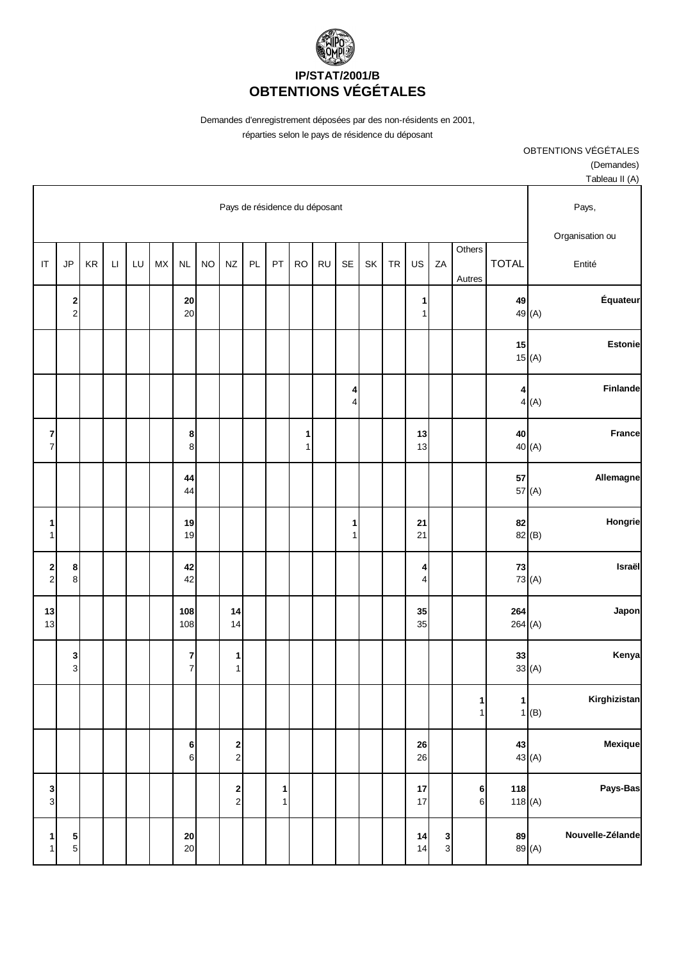

| Tableau II (A)           |                      |              |                   |                   |                  |    |    |                   |           |                               |                  |    |                                           |           |                                    |                  |    |                        |    |                                       |                                  |
|--------------------------|----------------------|--------------|-------------------|-------------------|------------------|----|----|-------------------|-----------|-------------------------------|------------------|----|-------------------------------------------|-----------|------------------------------------|------------------|----|------------------------|----|---------------------------------------|----------------------------------|
| Pays,<br>Organisation ou |                      |              |                   |                   |                  |    |    |                   |           | Pays de résidence du déposant |                  |    |                                           |           |                                    |                  |    |                        |    |                                       |                                  |
| Entité                   |                      | <b>TOTAL</b> | Others<br>Autres  | ZA                | US               | TR | SK | <b>SE</b>         | <b>RU</b> | <b>RO</b>                     | PT               | PL | <b>NZ</b>                                 | <b>NO</b> | $\sf NL$                           | ${\sf M}{\sf X}$ | LU | $\mathsf{L}\mathsf{I}$ | KR | JP                                    | $\mathsf{I}\mathsf{T}$           |
| Équateur                 | 49<br>49 (A)         |              |                   |                   | 1<br>1           |    |    |                   |           |                               |                  |    |                                           |           | 20<br>20                           |                  |    |                        |    | $\begin{array}{c} 2 \\ 2 \end{array}$ |                                  |
| <b>Estonie</b>           | 15<br>15(A)          |              |                   |                   |                  |    |    |                   |           |                               |                  |    |                                           |           |                                    |                  |    |                        |    |                                       |                                  |
| Finlande                 | 4<br>4(A)            |              |                   |                   |                  |    |    | 4<br>4            |           |                               |                  |    |                                           |           |                                    |                  |    |                        |    |                                       |                                  |
| <b>France</b>            | 40<br>40 (A)         |              |                   |                   | 13<br>13         |    |    |                   |           | 1<br>$\mathbf{1}$             |                  |    |                                           |           | 8<br>8                             |                  |    |                        |    |                                       | $\overline{7}$<br>$\overline{7}$ |
| Allemagne                | 57<br>57 (A)         |              |                   |                   |                  |    |    |                   |           |                               |                  |    |                                           |           | 44<br>44                           |                  |    |                        |    |                                       |                                  |
| Hongrie                  | 82<br>82 (B)         |              |                   |                   | 21<br>21         |    |    | 1<br>$\mathbf{1}$ |           |                               |                  |    |                                           |           | 19<br>19                           |                  |    |                        |    |                                       | 1<br>1                           |
| Israël                   | $\bf 73$<br>73 (A)   |              |                   |                   | 4<br>4           |    |    |                   |           |                               |                  |    |                                           |           | 42<br>42                           |                  |    |                        |    | 8<br>$\bf 8$                          | $\mathbf{2}$<br>$\overline{c}$   |
| Japon                    | 264(A)               | 264          |                   |                   | 35<br>35         |    |    |                   |           |                               |                  |    | 14<br>14                                  |           | 108<br>108                         |                  |    |                        |    |                                       | 13<br>13                         |
| Kenya                    | 33<br>33(A)          |              |                   |                   |                  |    |    |                   |           |                               |                  |    | 1<br>1                                    |           | $\boldsymbol{7}$<br>$\overline{7}$ |                  |    |                        |    | 3<br>$\mathbf 3$                      |                                  |
| Kirghizistan             | $\mathbf{1}$<br>1(B) |              | 1<br>$\mathbf{1}$ |                   |                  |    |    |                   |           |                               |                  |    |                                           |           |                                    |                  |    |                        |    |                                       |                                  |
| Mexique                  | 43<br>43 (A)         |              |                   |                   | ${\bf 26}$<br>26 |    |    |                   |           |                               |                  |    | 2<br>$\overline{c}$                       |           | 6<br>$6 \overline{6}$              |                  |    |                        |    |                                       |                                  |
| Pays-Bas                 | 118(A)               | 118          | 6<br>$\,$ 6       |                   | 17<br>17         |    |    |                   |           |                               | 1<br>$\mathbf 1$ |    | $\overline{\mathbf{c}}$<br>$\overline{c}$ |           |                                    |                  |    |                        |    |                                       | 3<br>3                           |
| Nouvelle-Zélande         | 89<br>89 (A)         |              |                   | 3<br>$\mathbf{3}$ | 14<br>14         |    |    |                   |           |                               |                  |    |                                           |           | 20<br>20                           |                  |    |                        |    | $\frac{5}{5}$                         | 1<br>1                           |

OBTENTIONS VÉGÉTALES (Demandes)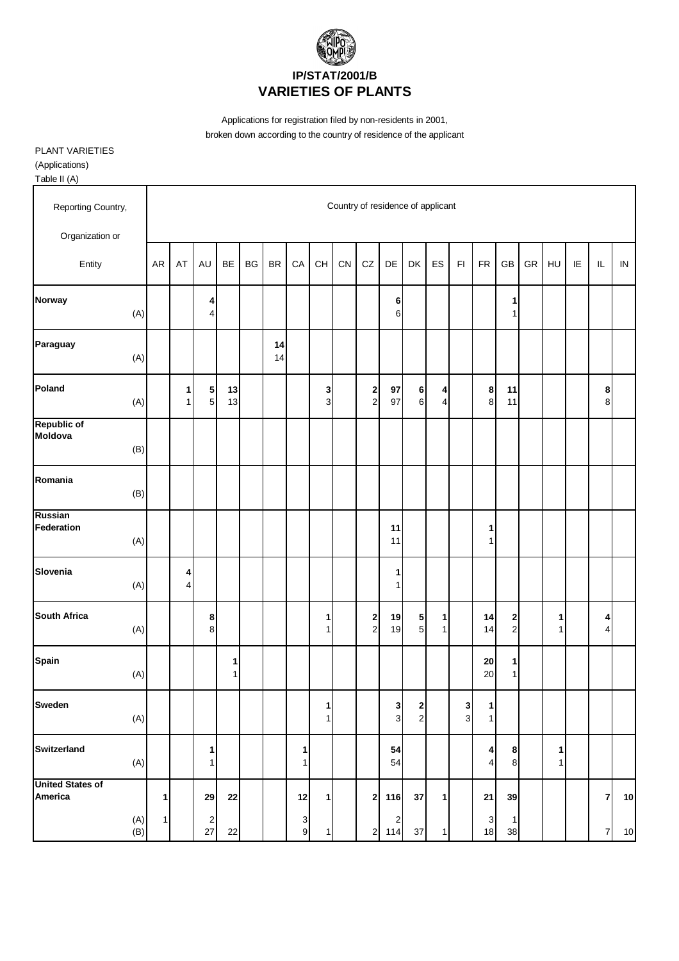

PLANT VARIETIES

(Applications)

| Reporting Country,                        |           |        |                              |                     |    |           |                     |                                          | Country of residence of applicant |                                |                                |                                   |                     |                              |                   |                     |    |                   |    |                |            |
|-------------------------------------------|-----------|--------|------------------------------|---------------------|----|-----------|---------------------|------------------------------------------|-----------------------------------|--------------------------------|--------------------------------|-----------------------------------|---------------------|------------------------------|-------------------|---------------------|----|-------------------|----|----------------|------------|
| Organization or                           |           |        |                              |                     |    |           |                     |                                          |                                   |                                |                                |                                   |                     |                              |                   |                     |    |                   |    |                |            |
| Entity                                    | <b>AR</b> | AT     | AU                           | <b>BE</b>           | BG | <b>BR</b> | CA                  | $\mathsf{CH}% \left( \mathcal{M}\right)$ | CN                                | CZ                             | DE                             | DK                                | ES                  | $\mathsf{FI}$                | <b>FR</b>         | GB                  | GR | HU                | IE | $\sf IL$       | ${\sf IN}$ |
| <b>Norway</b><br>(A)                      |           |        | 4<br>4                       |                     |    |           |                     |                                          |                                   |                                | 6<br>6                         |                                   |                     |                              |                   | 1<br>1              |    |                   |    |                |            |
| Paraguay<br>(A)                           |           |        |                              |                     |    | 14<br>14  |                     |                                          |                                   |                                |                                |                                   |                     |                              |                   |                     |    |                   |    |                |            |
| Poland<br>(A)                             |           | 1<br>1 | ${\bf 5}$<br>5               | 13<br>13            |    |           |                     | 3<br>$\overline{3}$                      |                                   | $\mathbf{2}$<br>$\overline{2}$ | 97<br>97                       | 6<br>$\,6$                        | 4<br>$\overline{4}$ |                              | 8<br>$\bf8$       | 11<br>11            |    |                   |    | 8<br>8         |            |
| <b>Republic of</b><br>Moldova<br>(B)      |           |        |                              |                     |    |           |                     |                                          |                                   |                                |                                |                                   |                     |                              |                   |                     |    |                   |    |                |            |
| Romania<br>(B)                            |           |        |                              |                     |    |           |                     |                                          |                                   |                                |                                |                                   |                     |                              |                   |                     |    |                   |    |                |            |
| <b>Russian</b><br>Federation<br>(A)       |           |        |                              |                     |    |           |                     |                                          |                                   |                                | 11<br>11                       |                                   |                     |                              | 1<br>1            |                     |    |                   |    |                |            |
| Slovenia<br>(A)                           |           | 4<br>4 |                              |                     |    |           |                     |                                          |                                   |                                | 1<br>$\mathbf{1}$              |                                   |                     |                              |                   |                     |    |                   |    |                |            |
| <b>South Africa</b><br>(A)                |           |        | 8<br>8                       |                     |    |           |                     | 1<br>1                                   |                                   | $\mathbf{2}$<br>$\mathbf{2}$   | 19<br>19                       | 5 <sub>l</sub><br>$5\overline{)}$ | 1<br>$\mathbf{1}$   |                              | 14<br>14          | 2<br>$\overline{c}$ |    | 1<br>1            |    | 4<br>4         |            |
| <b>Spain</b><br>(A)                       |           |        |                              | 1<br>1 <sup>1</sup> |    |           |                     |                                          |                                   |                                |                                |                                   |                     |                              | 20<br>20          | $\mathbf{1}$<br>1   |    |                   |    |                |            |
| <b>Sweden</b><br>(A)                      |           |        |                              |                     |    |           |                     | 1 <sup>1</sup><br>1 <sup>1</sup>         |                                   |                                | $\mathbf{3}$<br>$\overline{3}$ | $\mathbf{2}$<br>$\overline{a}$    |                     | $\mathbf{3}$<br>$\mathbf{3}$ | 1<br>$\mathbf{1}$ |                     |    |                   |    |                |            |
| Switzerland<br>(A)                        |           |        | $\mathbf{1}$<br>$\mathbf{1}$ |                     |    |           | $\mathbf{1}$<br>1   |                                          |                                   |                                | 54<br>54                       |                                   |                     |                              | 4<br>4            | 8<br>8 <sup>1</sup> |    | 1<br>$\mathbf{1}$ |    |                |            |
| <b>United States of</b><br><b>America</b> | 1         |        | 29                           | 22                  |    |           | 12                  | $\vert$ 1                                |                                   | $2\vert$                       | 116                            | 37                                | 1                   |                              | 21                | 39                  |    |                   |    | $\overline{7}$ | $10$       |
| (A)<br>(B)                                | 1         |        | 2<br>27                      | 22                  |    |           | 3<br>$\overline{9}$ | $\mathbf{1}$                             |                                   |                                | 2<br>2 114                     | $37\,$                            | $\mathbf{1}$        |                              | 3<br>18           | 1<br>38             |    |                   |    | $\overline{7}$ | $10$       |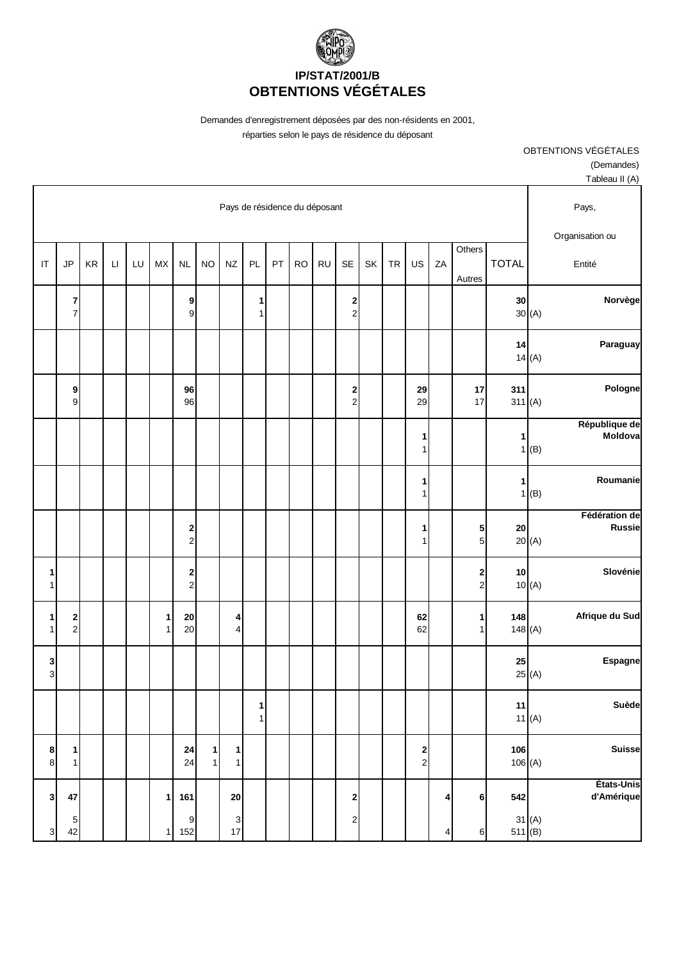

| Tableau II (A)            |                           |                     |    |                   |           |    |                                           |           |                               |    |                   |                             |                   |                                    |                   |    |              |    |                       |                                           |
|---------------------------|---------------------------|---------------------|----|-------------------|-----------|----|-------------------------------------------|-----------|-------------------------------|----|-------------------|-----------------------------|-------------------|------------------------------------|-------------------|----|--------------|----|-----------------------|-------------------------------------------|
| Pays,                     |                           |                     |    |                   |           |    |                                           |           | Pays de résidence du déposant |    |                   |                             |                   |                                    |                   |    |              |    |                       |                                           |
| Organisation ou<br>Entité | <b>TOTAL</b>              | Others<br>Autres    | ZA | US                | <b>TR</b> | SK | SE                                        | <b>RU</b> | <b>RO</b>                     | PT | PL                | <b>NZ</b>                   | <b>NO</b>         | NL                                 | <b>MX</b>         | LU | $\mathsf{L}$ | KR | JP                    | IT                                        |
| Norvège                   | 30<br>30(A)               |                     |    |                   |           |    | $\overline{\mathbf{c}}$<br>$\overline{c}$ |           |                               |    | 1<br>1            |                             |                   | $\boldsymbol{9}$<br>$\overline{9}$ |                   |    |              |    | 7<br>$\boldsymbol{7}$ |                                           |
| Paraguay                  | 14<br>14(A)               |                     |    |                   |           |    |                                           |           |                               |    |                   |                             |                   |                                    |                   |    |              |    |                       |                                           |
| Pologne                   | 311<br>311(A)             | 17<br>17            |    | 29<br>29          |           |    | $\overline{\mathbf{c}}$<br>$\mathbf 2$    |           |                               |    |                   |                             |                   | 96<br>96                           |                   |    |              |    | 9<br>9                |                                           |
| République de<br>Moldova  | 1<br>(B)<br>1             |                     |    | 1<br>1            |           |    |                                           |           |                               |    |                   |                             |                   |                                    |                   |    |              |    |                       |                                           |
| Roumanie                  | 1<br>1(B)                 |                     |    | 1<br>1            |           |    |                                           |           |                               |    |                   |                             |                   |                                    |                   |    |              |    |                       |                                           |
| Fédération de<br>Russie   | 20<br>20(A)               | 5<br>5 <sup>1</sup> |    | 1<br>1            |           |    |                                           |           |                               |    |                   |                             |                   | $\frac{2}{2}$                      |                   |    |              |    |                       |                                           |
| Slovénie                  | 10<br>10(A)               | $\frac{2}{2}$       |    |                   |           |    |                                           |           |                               |    |                   |                             |                   | $\frac{2}{2}$                      |                   |    |              |    |                       | 1<br>1                                    |
| Afrique du Sud            | 148<br>148(A)             | 1<br>1              |    | 62<br>62          |           |    |                                           |           |                               |    |                   | 4<br>4                      |                   | 20<br>$20\,$                       | $\mathbf{1}$<br>1 |    |              |    | $\frac{2}{2}$         | 1<br>1                                    |
| <b>Espagne</b>            | 25<br>25(A)               |                     |    |                   |           |    |                                           |           |                               |    |                   |                             |                   |                                    |                   |    |              |    |                       | 3<br>$\mathbf{3}$                         |
| Suède                     | 11<br>11 $(A)$            |                     |    |                   |           |    |                                           |           |                               |    | 1<br>$\mathbf{1}$ |                             |                   |                                    |                   |    |              |    |                       |                                           |
| <b>Suisse</b>             | 106<br>106(A)             |                     |    | 2<br>$\mathbf{2}$ |           |    |                                           |           |                               |    |                   | $\mathbf 1$<br>$\mathbf{1}$ | $\mathbf{1}$<br>1 | 24<br>24                           |                   |    |              |    | 1<br>$\mathbf{1}$     | 8<br>$\bf{8}$                             |
| États-Unis<br>d'Amérique  | 542<br>31(A)<br>511 $(B)$ | 6 <sup>1</sup><br>6 | 4  |                   |           |    | $\mathbf 2$<br>$\overline{2}$             |           |                               |    |                   | ${\bf 20}$<br>3<br>17       |                   | 161<br>$\mathsf 9$<br>152          | 1                 |    |              |    | 47<br>5<br>42         | $\overline{\mathbf{3}}$<br>$\overline{3}$ |

(Demandes)

OBTENTIONS VÉGÉTALES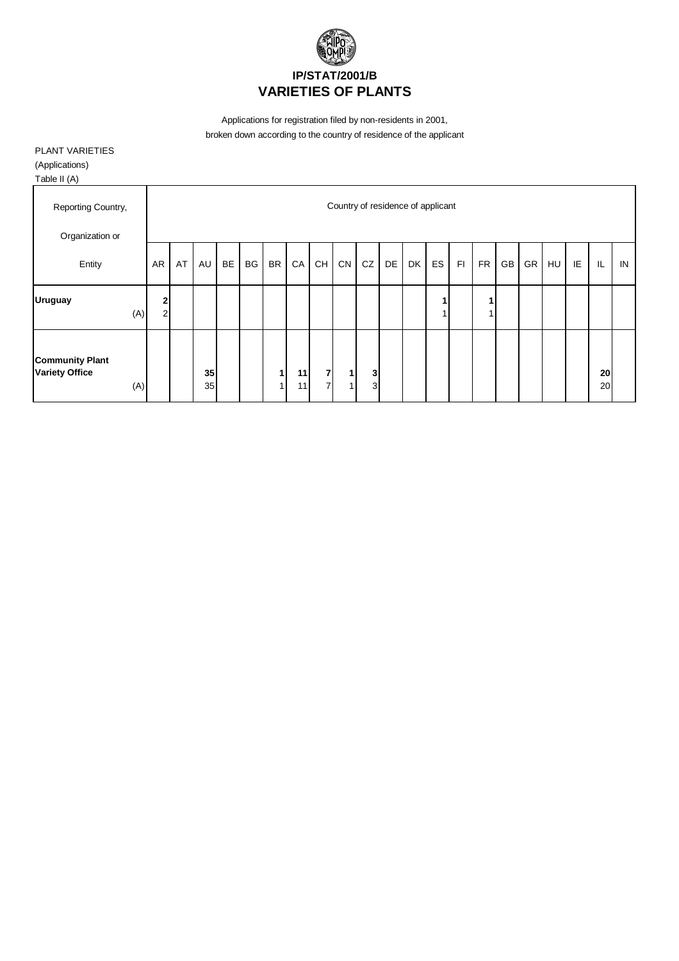

PLANT VARIETIES

(Applications)

| Reporting Country,<br>Organization or                  |                   |    |          |           |    |           |          |                                  | Country of residence of applicant |        |    |    |    |    |           |    |    |    |    |          |    |
|--------------------------------------------------------|-------------------|----|----------|-----------|----|-----------|----------|----------------------------------|-----------------------------------|--------|----|----|----|----|-----------|----|----|----|----|----------|----|
| Entity                                                 | AR                | AT | AU       | <b>BE</b> | BG | <b>BR</b> | CA       | CH                               | ${\sf CN}$                        | CZ     | DE | DK | ES | F1 | <b>FR</b> | GB | GR | HU | IE | IL       | IN |
| <b>Uruguay</b><br>(A)                                  | 2<br>$\mathbf{2}$ |    |          |           |    |           |          |                                  |                                   |        |    |    |    |    |           |    |    |    |    |          |    |
|                                                        |                   |    |          |           |    |           |          |                                  |                                   |        |    |    |    |    |           |    |    |    |    |          |    |
| <b>Community Plant</b><br><b>Variety Office</b><br>(A) |                   |    | 35<br>35 |           |    |           | 11<br>11 | $\overline{7}$<br>$\overline{7}$ | $\mathbf{1}$<br>4                 | 3<br>3 |    |    |    |    |           |    |    |    |    | 20<br>20 |    |